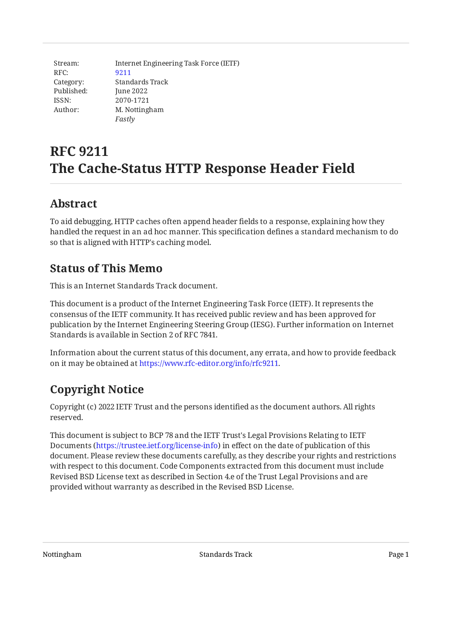Stream: RFC: Category: Published: ISSN: Author: Internet Engineering Task Force (IETF) [9211](https://www.rfc-editor.org/rfc/rfc9211) Standards Track June 2022 2070-1721 M. Nottingham *Fastly*

# **RFC 9211 The Cache-Status HTTP Response Header Field**

## <span id="page-0-0"></span>**[Abstract](#page-0-0)**

To aid debugging, HTTP caches often append header fields to a response, explaining how they handled the request in an ad hoc manner. This specification defines a standard mechanism to do so that is aligned with HTTP's caching model.

## <span id="page-0-1"></span>**[Status of This Memo](#page-0-1)**

This is an Internet Standards Track document.

This document is a product of the Internet Engineering Task Force (IETF). It represents the consensus of the IETF community. It has received public review and has been approved for publication by the Internet Engineering Steering Group (IESG). Further information on Internet Standards is available in Section 2 of RFC 7841.

Information about the current status of this document, any errata, and how to provide feedback on it may be obtained at [https://www.rfc-editor.org/info/rfc9211.](https://www.rfc-editor.org/info/rfc9211)

# <span id="page-0-2"></span>**[Copyright Notice](#page-0-2)**

Copyright (c) 2022 IETF Trust and the persons identified as the document authors. All rights reserved.

This document is subject to BCP 78 and the IETF Trust's Legal Provisions Relating to IETF Documents (<https://trustee.ietf.org/license-info>) in effect on the date of publication of this document. Please review these documents carefully, as they describe your rights and restrictions with respect to this document. Code Components extracted from this document must include Revised BSD License text as described in Section 4.e of the Trust Legal Provisions and are provided without warranty as described in the Revised BSD License.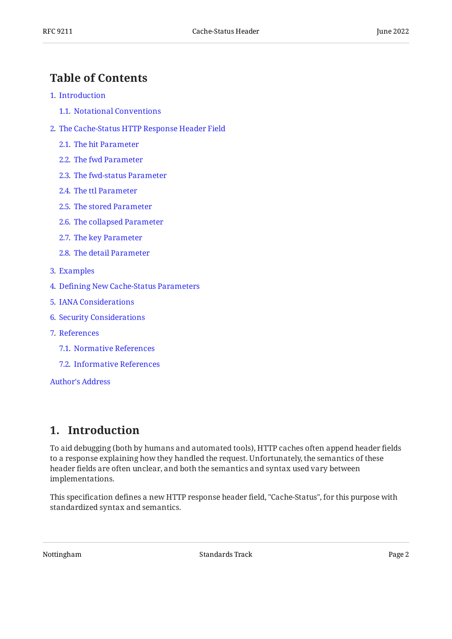### <span id="page-1-0"></span>**[Table of Contents](#page-1-0)**

- [1](#page-1-1). [Introduction](#page-1-1)
	- [1.1.](#page-2-0) [Notational Conventions](#page-2-0)
- [2](#page-2-1). [The Cache-Status HTTP Response Header Field](#page-2-1)
	- [2.1.](#page-3-0) [The hit Parameter](#page-3-0)
	- [2.2.](#page-3-1) [The fwd Parameter](#page-3-1)
	- [2.3.](#page-4-0) [The fwd-status Parameter](#page-4-0)
	- [2.4.](#page-4-1) [The ttl Parameter](#page-4-1)
	- [2.5.](#page-4-2) [The stored Parameter](#page-4-2)
	- [2.6.](#page-4-3) [The collapsed Parameter](#page-4-3)
	- [2.7.](#page-4-4) [The key Parameter](#page-4-4)
	- [2.8.](#page-4-5) [The detail Parameter](#page-4-5)
- [3](#page-5-0). [Examples](#page-5-0)
- [4](#page-6-0). Defi[ning New Cache-Status Parameters](#page-6-0)
- [5](#page-7-0). [IANA Considerations](#page-7-0)
- [6](#page-7-1). [Security Considerations](#page-7-1)
- [7](#page-7-2). [References](#page-7-2)
	- [7.1.](#page-7-3) [Normative References](#page-7-3)
	- [7.2.](#page-8-0) [Informative References](#page-8-0)

[Author's Address](#page-8-1)

### <span id="page-1-1"></span>**[1. Introduction](#page-1-1)**

To aid debugging (both by humans and automated tools), HTTP caches often append header fields to a response explaining how they handled the request. Unfortunately, the semantics of these header fields are often unclear, and both the semantics and syntax used vary between implementations.

This specification defines a new HTTP response header field, "Cache-Status", for this purpose with standardized syntax and semantics.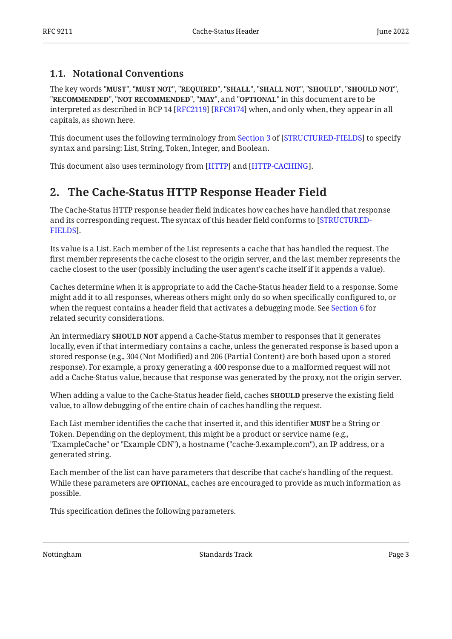#### <span id="page-2-0"></span>**[1.1. Notational Conventions](#page-2-0)**

The key words "MUST", "MUST NOT", "REQUIRED", "SHALL", "SHALL NOT", "SHOULD", "SHOULD NOT", "**RECOMMENDED", "NOT RECOMMENDED", "MAY",** and "OPTIONAL" in this document are to be interpreted as described in BCP 14 [RFC2119] [RFC8174] when, and only when, they appear in all capitals, as shown here.

Thisdocument uses the following terminology from Section 3 of [STRUCTURED-FIELDS] to specify syntax and parsing: List, String, Token, Integer, and Boolean.

<span id="page-2-1"></span>This document also uses terminology from [HTTP] and [HTTP-CACHING].

### **[2. The Cache-Status HTTP Response Header Field](#page-2-1)**

The Cache-Status HTTP response header field indicates how caches have handled that response and its corresponding request. The syntax of this header field conforms to [\[STRUCTURED-](#page-8-4). [FIELDS](#page-8-4)]

Its value is a List. Each member of the List represents a cache that has handled the request. The first member represents the cache closest to the origin server, and the last member represents the cache closest to the user (possibly including the user agent's cache itself if it appends a value).

Caches determine when it is appropriate to add the Cache-Status header field to a response. Some might add it to all responses, whereas others might only do so when specifically configured to, or when the request contains a header field that activates a debugging mode. See [Section 6](#page-7-1) for related security considerations.

An intermediary **SHOULD NOT** append a Cache-Status member to responses that it generates locally, even if that intermediary contains a cache, unless the generated response is based upon a stored response (e.g., 304 (Not Modified) and 206 (Partial Content) are both based upon a stored response). For example, a proxy generating a 400 response due to a malformed request will not add a Cache-Status value, because that response was generated by the proxy, not the origin server.

When adding a value to the Cache-Status header field, caches **SHOULD** preserve the existing field value, to allow debugging of the entire chain of caches handling the request.

Each List member identifies the cache that inserted it, and this identifier **MUST** be a String or Token. Depending on the deployment, this might be a product or service name (e.g., "ExampleCache" or "Example CDN"), a hostname ("cache-3.example.com"), an IP address, or a generated string.

Each member of the list can have parameters that describe that cache's handling of the request. While these parameters are **OPTIONAL**, caches are encouraged to provide as much information as possible.

This specification defines the following parameters.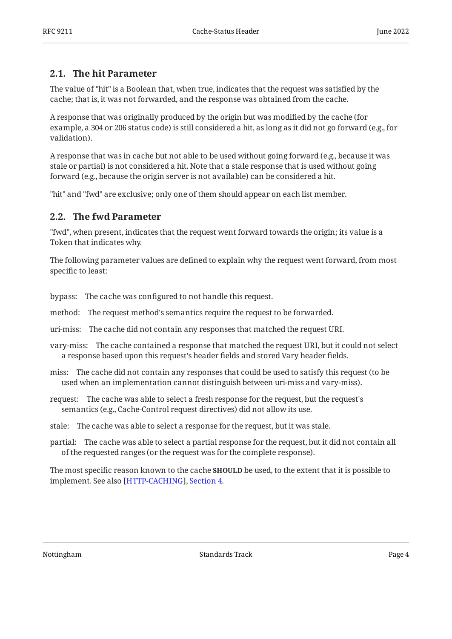#### <span id="page-3-0"></span>**[2.1. The hit Parameter](#page-3-0)**

The value of "hit" is a Boolean that, when true, indicates that the request was satisfied by the cache; that is, it was not forwarded, and the response was obtained from the cache.

A response that was originally produced by the origin but was modified by the cache (for example, a 304 or 206 status code) is still considered a hit, as long as it did not go forward (e.g., for validation).

A response that was in cache but not able to be used without going forward (e.g., because it was stale or partial) is not considered a hit. Note that a stale response that is used without going forward (e.g., because the origin server is not available) can be considered a hit.

<span id="page-3-1"></span>"hit" and "fwd" are exclusive; only one of them should appear on each list member.

#### **[2.2. The fwd Parameter](#page-3-1)**

"fwd", when present, indicates that the request went forward towards the origin; its value is a Token that indicates why.

The following parameter values are defined to explain why the request went forward, from most specific to least:

bypass: The cache was configured to not handle this request.

method: The request method's semantics require the request to be forwarded.

uri-miss: The cache did not contain any responses that matched the request URI.

vary-miss: The cache contained a response that matched the request URI, but it could not select a response based upon this request's header fields and stored Vary header fields.

miss: The cache did not contain any responses that could be used to satisfy this request (to be used when an implementation cannot distinguish between uri-miss and vary-miss).

request: The cache was able to select a fresh response for the request, but the request's semantics (e.g., Cache-Control request directives) did not allow its use.

stale: The cache was able to select a response for the request, but it was stale.

partial: The cache was able to select a partial response for the request, but it did not contain all of the requested ranges (or the request was for the complete response).

The most specific reason known to the cache **SHOULD** be used, to the extent that it is possible to implement[.](https://www.rfc-editor.org/rfc/rfc9111#section-4) See also [HTTP-CACHING], Section 4.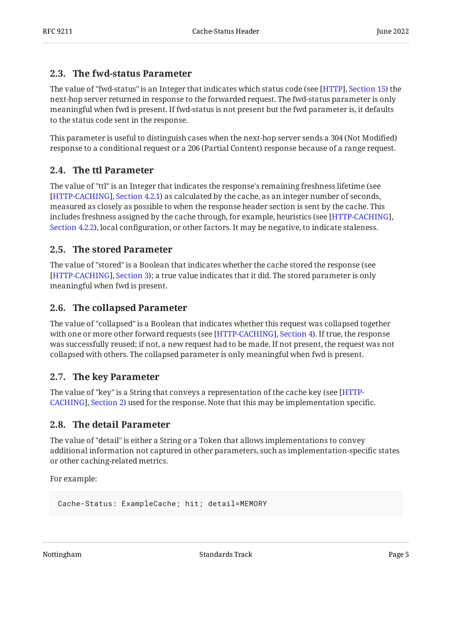#### <span id="page-4-0"></span>**[2.3. The fwd-status Parameter](#page-4-0)**

The value of "fwd-status" is an Integer that indicates which status code (see [HTTP], Section 15[\)](https://www.rfc-editor.org/rfc/rfc9110#section-15) the next-hop server returned in response to the forwarded request. The fwd-status parameter is only meaningful when fwd is present. If fwd-status is not present but the fwd parameter is, it defaults to the status code sent in the response.

This parameter is useful to distinguish cases when the next-hop server sends a 304 (Not Modified) response to a conditional request or a 206 (Partial Content) response because of a range request.

### <span id="page-4-1"></span>**[2.4. The ttl Parameter](#page-4-1)**

The value of "ttl" is an Integer that indicates the response's remaining freshness lifetime (see [[HTTP-CACHING\]](#page-7-5), [Section 4.2.1](https://www.rfc-editor.org/rfc/rfc9111#section-4.2.1)) as calculated by the cache, as an integer number of seconds, measured as closely as possible to when the response header section is sent by the cache. This includes freshness assigned by the cache through, for example, heuristics (see [\[HTTP-CACHING](#page-7-5)], [Section 4.2.2](https://www.rfc-editor.org/rfc/rfc9111#section-4.2.2)), local configuration, or other factors. It may be negative, to indicate staleness.

#### <span id="page-4-2"></span>**[2.5. The stored Parameter](#page-4-2)**

The value of "stored" is a Boolean that indicates whether the cache stored the response (see [[HTTP-CACHING\]](#page-7-5), [Section 3](https://www.rfc-editor.org/rfc/rfc9111#section-3)); a true value indicates that it did. The stored parameter is only meaningful when fwd is present.

### <span id="page-4-3"></span>**[2.6. The collapsed Parameter](#page-4-3)**

The value of "collapsed" is a Boolean that indicates whether this request was collapsed together with one or more other forward requests (see [HTTP-CACHING], Section 4[\)](https://www.rfc-editor.org/rfc/rfc9111#section-4). If true, the response was successfully reused; if not, a new request had to be made. If not present, the request was not collapsed with others. The collapsed parameter is only meaningful when fwd is present.

### <span id="page-4-4"></span>**[2.7. The key Parameter](#page-4-4)**

The value of "key" is a String that conveys a representation of the cache key (see [[HTTP-](#page-7-5)[CACHING\]](#page-7-5), [Section 2](https://www.rfc-editor.org/rfc/rfc9111#section-2)) used for the response. Note that this may be implementation specific.

### <span id="page-4-5"></span>**[2.8. The detail Parameter](#page-4-5)**

The value of "detail" is either a String or a Token that allows implementations to convey additional information not captured in other parameters, such as implementation-specific states or other caching-related metrics.

For example:

```
Cache-Status: ExampleCache; hit; detail=MEMORY
```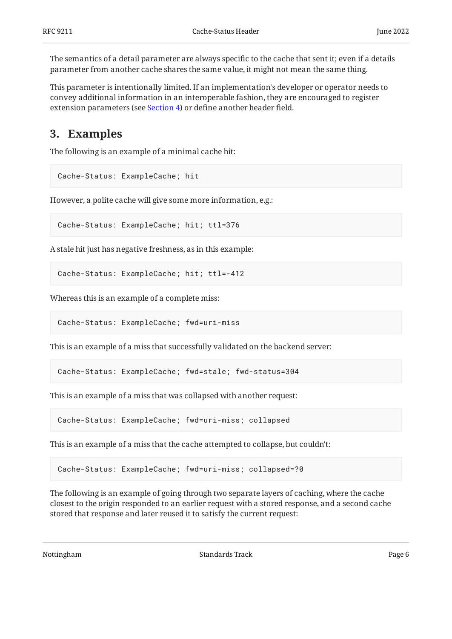The semantics of a detail parameter are always specific to the cache that sent it; even if a details parameter from another cache shares the same value, it might not mean the same thing.

This parameter is intentionally limited. If an implementation's developer or operator needs to convey additional information in an interoperable fashion, they are encouraged to register extension parameters (see [Section 4\)](#page-6-0) or define another header field.

### <span id="page-5-0"></span>**[3. Examples](#page-5-0)**

The following is an example of a minimal cache hit:

```
Cache-Status: ExampleCache; hit
```
However, a polite cache will give some more information, e.g.:

```
Cache-Status: ExampleCache; hit; ttl=376
```
A stale hit just has negative freshness, as in this example:

```
Cache-Status: ExampleCache; hit; ttl=-412
```
Whereas this is an example of a complete miss:

```
Cache-Status: ExampleCache; fwd=uri-miss
```
This is an example of a miss that successfully validated on the backend server:

Cache-Status: ExampleCache; fwd=stale; fwd-status=304

This is an example of a miss that was collapsed with another request:

Cache-Status: ExampleCache; fwd=uri-miss; collapsed

This is an example of a miss that the cache attempted to collapse, but couldn't:

Cache-Status: ExampleCache; fwd=uri-miss; collapsed=?0

The following is an example of going through two separate layers of caching, where the cache closest to the origin responded to an earlier request with a stored response, and a second cache stored that response and later reused it to satisfy the current request: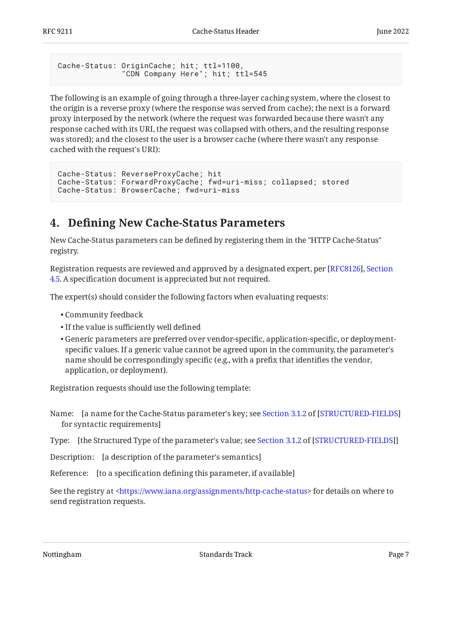```
Cache-Status: OriginCache; hit; ttl=1100,
               "CDN Company Here"; hit; ttl=545
```
The following is an example of going through a three-layer caching system, where the closest to the origin is a reverse proxy (where the response was served from cache); the next is a forward proxy interposed by the network (where the request was forwarded because there wasn't any response cached with its URI, the request was collapsed with others, and the resulting response was stored); and the closest to the user is a browser cache (where there wasn't any response cached with the request's URI):

```
Cache-Status: ReverseProxyCache; hit
Cache-Status: ForwardProxyCache; fwd=uri-miss; collapsed; stored
Cache-Status: BrowserCache; fwd=uri-miss
```
### <span id="page-6-0"></span>**[4. D](#page-6-0)efi[ning New Cache-Status Parameters](#page-6-0)**

New Cache-Status parameters can be defined by registering them in the "HTTP Cache-Status" registry.

Registration requests are reviewed and approved by a designated expert, per [[RFC8126\]](#page-8-5), [Section](https://www.rfc-editor.org/rfc/rfc8126#section-4.5) [4.5](https://www.rfc-editor.org/rfc/rfc8126#section-4.5). A specification document is appreciated but not required.

The expert(s) should consider the following factors when evaluating requests:

- Community feedback •
- If the value is sufficiently well defined •
- Generic parameters are preferred over vendor-specific, application-specific, or deployment-• specific values. If a generic value cannot be agreed upon in the community, the parameter's name should be correspondingly specific (e.g., with a prefix that identifies the vendor, application, or deployment).

Registration requests should use the following template:

- Name: [a name for the Cache-Status parameter's key; see [Section 3.1.2](https://www.rfc-editor.org/rfc/rfc8941#section-3.1.2) of [[STRUCTURED-FIELDS\]](#page-8-4) for syntactic requirements]
- Type:[the Structured Type of the parameter's value; see Section 3.1.2 of [STRUCTURED-FIELDS]]

Description: [a description of the parameter's semantics]

Reference: [to a specification defining this parameter, if available]

See the registry at <https://www.iana.org/assignments/http-cache-status> for details on where to send registration requests.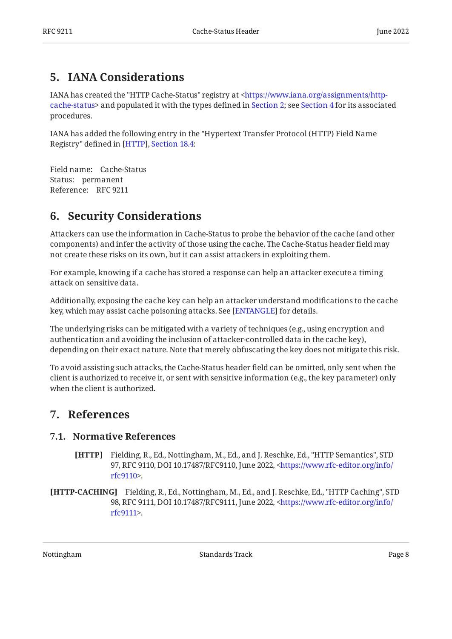## <span id="page-7-0"></span>**[5. IANA Considerations](#page-7-0)**

IANA has created the "HTTP Cache-Status" registry at [<https://www.iana.org/assignments/http-](https://www.iana.org/assignments/http-cache-status)cache-status> and populated it with the types defined in [Section 2](#page-2-1); see [Section 4](#page-6-0) for its associated procedures.

IANA has added the following entry in the "Hypertext Transfer Protocol (HTTP) Field Name Registry" defined in [HTTP], Section 18.4[:](https://www.rfc-editor.org/rfc/rfc9110#section-18.4)

Field name: Cache-Status Status: permanent Reference: RFC 9211

## <span id="page-7-1"></span>**[6. Security Considerations](#page-7-1)**

Attackers can use the information in Cache-Status to probe the behavior of the cache (and other components) and infer the activity of those using the cache. The Cache-Status header field may not create these risks on its own, but it can assist attackers in exploiting them.

For example, knowing if a cache has stored a response can help an attacker execute a timing attack on sensitive data.

Additionally, exposing the cache key can help an attacker understand modifications to the cache key, which may assist cache poisoning attacks. See [[ENTANGLE](#page-8-6)] for details.

The underlying risks can be mitigated with a variety of techniques (e.g., using encryption and authentication and avoiding the inclusion of attacker-controlled data in the cache key), depending on their exact nature. Note that merely obfuscating the key does not mitigate this risk.

To avoid assisting such attacks, the Cache-Status header field can be omitted, only sent when the client is authorized to receive it, or sent with sensitive information (e.g., the key parameter) only when the client is authorized.

### <span id="page-7-3"></span><span id="page-7-2"></span>**[7. References](#page-7-2)**

#### <span id="page-7-4"></span>**[7.1. Normative References](#page-7-3)**

- **[HTTP]** Fielding, R., Ed., Nottingham, M., Ed., and J. Reschke, Ed., "HTTP Semantics", STD 97, RFC 9110, DOI 10.17487/RFC9110, June 2022, [<https://www.rfc-editor.org/info/](https://www.rfc-editor.org/info/rfc9110) . [rfc9110](https://www.rfc-editor.org/info/rfc9110)>
- <span id="page-7-5"></span>**[HTTP-CACHING]** Fielding, R., Ed., Nottingham, M., Ed., and J. Reschke, Ed., "HTTP Caching", STD 98, RFC 9111, DOI 10.17487/RFC9111, June 2022, [<https://www.rfc-editor.org/info/](https://www.rfc-editor.org/info/rfc9111) . [rfc9111](https://www.rfc-editor.org/info/rfc9111)>